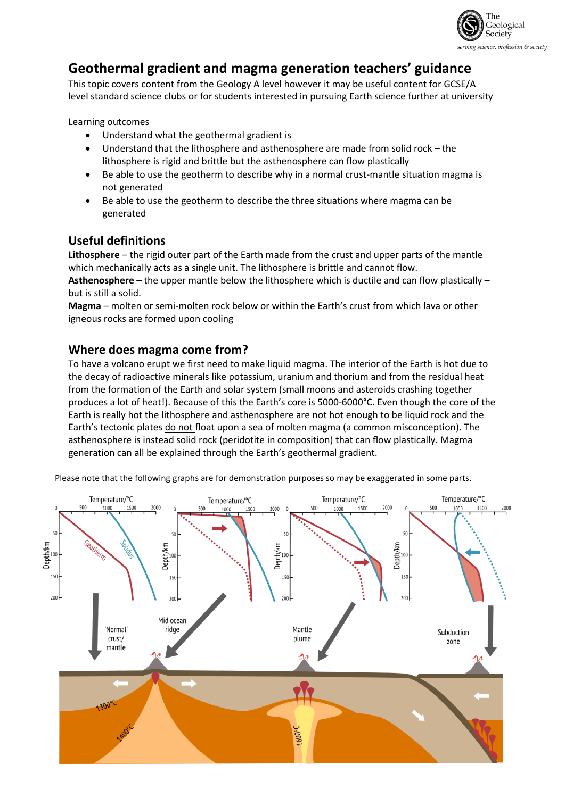

# **Geothermal gradient and magma generation teachers' guidance**

This topic covers content from the Geology A level however it may be useful content for GCSE/A level standard science clubs or for students interested in pursuing Earth science further at university

Learning outcomes

- Understand what the geothermal gradient is
- Understand that the lithosphere and asthenosphere are made from solid rock the lithosphere is rigid and brittle but the asthenosphere can flow plastically
- Be able to use the geotherm to describe why in a normal crust-mantle situation magma is not generated
- Be able to use the geotherm to describe the three situations where magma can be generated

## **Useful definitions**

**Lithosphere** – the rigid outer part of the Earth made from the crust and upper parts of the mantle which mechanically acts as a single unit. The lithosphere is brittle and cannot flow.

**Asthenosphere** – the upper mantle below the lithosphere which is ductile and can flow plastically – but is still a solid.

**Magma** – molten or semi-molten rock below or within the Earth's crust from which lava or other igneous rocks are formed upon cooling

### **Where does magma come from?**

To have a volcano erupt we first need to make liquid magma. The interior of the Earth is hot due to the decay of radioactive minerals like potassium, uranium and thorium and from the residual heat from the formation of the Earth and solar system (small moons and asteroids crashing together produces a lot of heat!). Because of this the Earth's core is 5000-6000°C. Even though the core of the Earth is really hot the lithosphere and asthenosphere are not hot enough to be liquid rock and the Earth's tectonic plates do not float upon a sea of molten magma (a common misconception). The asthenosphere is instead solid rock (peridotite in composition) that can flow plastically. Magma generation can all be explained through the Earth's geothermal gradient.

Please note that the following graphs are for demonstration purposes so may be exaggerated in some parts.